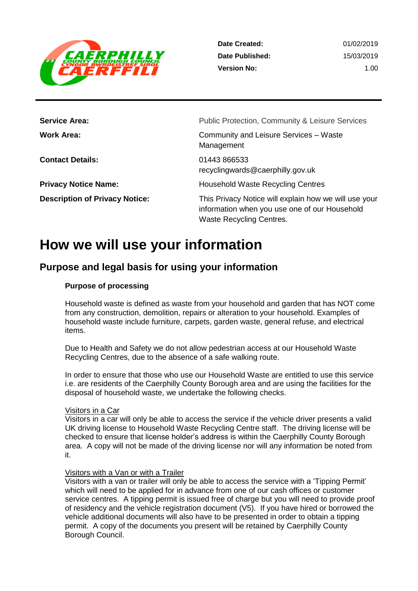

| <b>Service Area:</b>                  | <b>Public Protection, Community &amp; Leisure Services</b>                                                                                |
|---------------------------------------|-------------------------------------------------------------------------------------------------------------------------------------------|
| Work Area:                            | Community and Leisure Services - Waste<br>Management                                                                                      |
| <b>Contact Details:</b>               | 01443 866533<br>recyclingwards@caerphilly.gov.uk                                                                                          |
| <b>Privacy Notice Name:</b>           | <b>Household Waste Recycling Centres</b>                                                                                                  |
| <b>Description of Privacy Notice:</b> | This Privacy Notice will explain how we will use your<br>information when you use one of our Household<br><b>Waste Recycling Centres.</b> |

# **How we will use your information**

## **Purpose and legal basis for using your information**

## **Purpose of processing**

Household waste is defined as waste from your household and garden that has NOT come from any construction, demolition, repairs or alteration to your household. Examples of household waste include furniture, carpets, garden waste, general refuse, and electrical items.

Due to Health and Safety we do not allow pedestrian access at our Household Waste Recycling Centres, due to the absence of a safe walking route.

In order to ensure that those who use our Household Waste are entitled to use this service i.e. are residents of the Caerphilly County Borough area and are using the facilities for the disposal of household waste, we undertake the following checks.

### Visitors in a Car

Visitors in a car will only be able to access the service if the vehicle driver presents a valid UK driving license to Household Waste Recycling Centre staff. The driving license will be checked to ensure that license holder's address is within the Caerphilly County Borough area. A copy will not be made of the driving license nor will any information be noted from it.

### Visitors with a Van or with a Trailer

Visitors with a van or trailer will only be able to access the service with a 'Tipping Permit' which will need to be applied for in advance from one of our cash offices or customer service centres. A tipping permit is issued free of charge but you will need to provide proof of residency and the vehicle registration document (V5). If you have hired or borrowed the vehicle additional documents will also have to be presented in order to obtain a tipping permit. A copy of the documents you present will be retained by Caerphilly County Borough Council.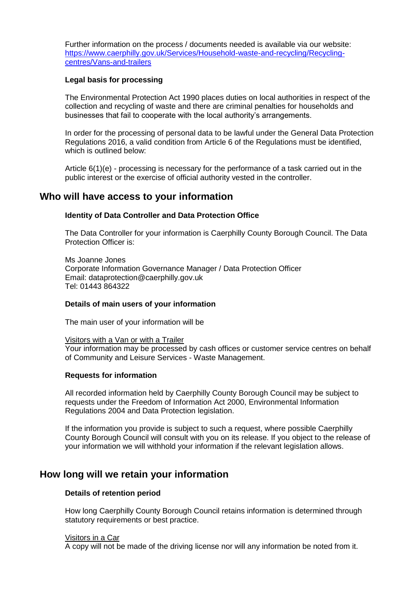Further information on the process / documents needed is available via our website: [https://www.caerphilly.gov.uk/Services/Household-waste-and-recycling/Recycling](https://www.caerphilly.gov.uk/Services/Household-waste-and-recycling/Recycling-centres/Vans-and-trailers)[centres/Vans-and-trailers](https://www.caerphilly.gov.uk/Services/Household-waste-and-recycling/Recycling-centres/Vans-and-trailers)

## **Legal basis for processing**

The Environmental Protection Act 1990 places duties on local authorities in respect of the collection and recycling of waste and there are criminal penalties for households and businesses that fail to cooperate with the local authority's arrangements.

In order for the processing of personal data to be lawful under the General Data Protection Regulations 2016, a valid condition from Article 6 of the Regulations must be identified, which is outlined below:

Article 6(1)(e) - processing is necessary for the performance of a task carried out in the public interest or the exercise of official authority vested in the controller.

## **Who will have access to your information**

## **Identity of Data Controller and Data Protection Office**

The Data Controller for your information is Caerphilly County Borough Council. The Data Protection Officer is:

Ms Joanne Jones Corporate Information Governance Manager / Data Protection Officer Email: dataprotection@caerphilly.gov.uk Tel: 01443 864322

### **Details of main users of your information**

The main user of your information will be

Visitors with a Van or with a Trailer

Your information may be processed by cash offices or customer service centres on behalf of Community and Leisure Services - Waste Management.

### **Requests for information**

All recorded information held by Caerphilly County Borough Council may be subject to requests under the Freedom of Information Act 2000, Environmental Information Regulations 2004 and Data Protection legislation.

If the information you provide is subject to such a request, where possible Caerphilly County Borough Council will consult with you on its release. If you object to the release of your information we will withhold your information if the relevant legislation allows.

## **How long will we retain your information**

### **Details of retention period**

How long Caerphilly County Borough Council retains information is determined through statutory requirements or best practice.

### Visitors in a Car

A copy will not be made of the driving license nor will any information be noted from it.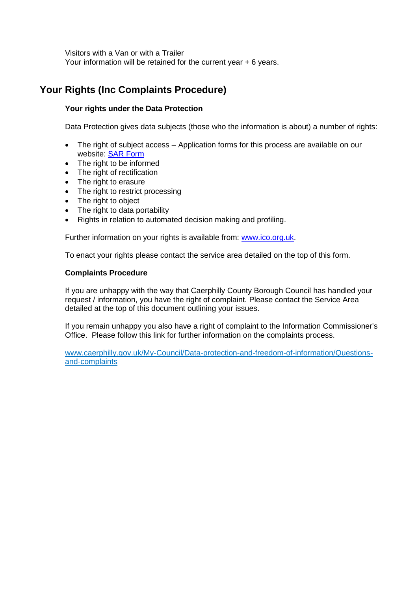Visitors with a Van or with a Trailer

Your information will be retained for the current year + 6 years.

## **Your Rights (Inc Complaints Procedure)**

## **Your rights under the Data Protection**

Data Protection gives data subjects (those who the information is about) a number of rights:

- The right of subject access Application forms for this process are available on our website: [SAR Form](http://www.caerphilly.gov.uk/CaerphillyDocs/Council-and-democracy/sar_form.aspx)
- The right to be informed
- The right of rectification
- The right to erasure
- The right to restrict processing
- The right to object
- The right to data portability
- Rights in relation to automated decision making and profiling.

Further information on your rights is available from: [www.ico.org.uk.](http://www.ico.org.uk/)

To enact your rights please contact the service area detailed on the top of this form.

## **Complaints Procedure**

If you are unhappy with the way that Caerphilly County Borough Council has handled your request / information, you have the right of complaint. Please contact the Service Area detailed at the top of this document outlining your issues.

If you remain unhappy you also have a right of complaint to the Information Commissioner's Office. Please follow this link for further information on the complaints process.

[www.caerphilly.gov.uk/My-Council/Data-protection-and-freedom-of-information/Questions](http://www.caerphilly.gov.uk/My-Council/Data-protection-and-freedom-of-information/Questions-and-complaints)[and-complaints](http://www.caerphilly.gov.uk/My-Council/Data-protection-and-freedom-of-information/Questions-and-complaints)